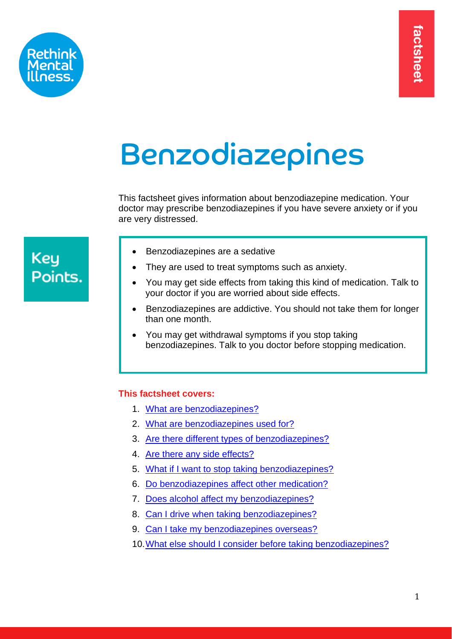

# Benzodiazepines

<span id="page-0-3"></span>This factsheet gives information about benzodiazepine medication. Your doctor may prescribe benzodiazepines if you have severe anxiety or if you are very distressed.

# **Key** Points.

- Benzodiazepines are a sedative
- They are used to treat symptoms such as anxiety.
- You may get side effects from taking this kind of medication. Talk to your doctor if you are worried about side effects.
- Benzodiazepines are addictive. You should not take them for longer than one month.
- You may get withdrawal symptoms if you stop taking benzodiazepines. Talk to you doctor before stopping medication.

# <span id="page-0-1"></span>**This factsheet covers:**

- <span id="page-0-2"></span>1. [What are benzodiazepines?](#page-0-0)
- 2. [What are benzodiazepines](#page-1-0) used for?
- 3. Are there [different types of benzodiazepines?](#page-2-0)
- 4. [Are there any side effects?](#page-2-1)
- 5. [What if I want to stop taking benzodiazepines?](#page-3-0)
- 6. Do [benzodiazepines](#page-5-0) affect other medication?
- 7. [Does alcohol affect my benzodiazepines?](#page-5-1)
- 8. [Can I drive when taking benzodiazepines?](#page-6-0)
- 9. [Can I take my benzodiazepines overseas?](#page-6-0)
- <span id="page-0-0"></span>10[.What else should I consider before taking benzodiazepines?](#page-6-1)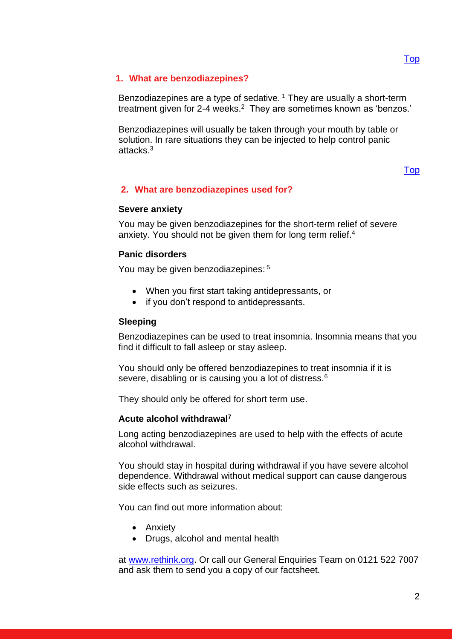# **1. What are benzodiazepines?**

Benzodiazepines are a type of sedative.<sup>1</sup> They are usually a short-term treatment given for 2-4 weeks.<sup>2</sup> They are sometimes known as 'benzos.'

Benzodiazepines will usually be taken through your mouth by table or solution. In rare situations they can be injected to help control panic attacks.<sup>3</sup>

# [Top](#page-0-2)

# <span id="page-1-0"></span>**2. What are benzodiazepines used for?**

## **Severe anxiety**

You may be given benzodiazepines for the short-term relief of severe anxiety. You should not be given them for long term relief.<sup>4</sup>

## **Panic disorders**

You may be given benzodiazepines: 5

- When you first start taking antidepressants, or
- if you don't respond to antidepressants.

## **Sleeping**

Benzodiazepines can be used to treat insomnia. Insomnia means that you find it difficult to fall asleep or stay asleep.

You should only be offered benzodiazepines to treat insomnia if it is severe, disabling or is causing you a lot of distress.<sup>6</sup>

They should only be offered for short term use.

## **Acute alcohol withdrawal<sup>7</sup>**

Long acting benzodiazepines are used to help with the effects of acute alcohol withdrawal.

You should stay in hospital during withdrawal if you have severe alcohol dependence. Withdrawal without medical support can cause dangerous side effects such as seizures.

You can find out more information about:

- Anxiety
- Drugs, alcohol and mental health

at [www.rethink.org.](http://www.rethink.org/factsheets) Or call our General Enquiries Team on 0121 522 7007 and ask them to send you a copy of our factsheet.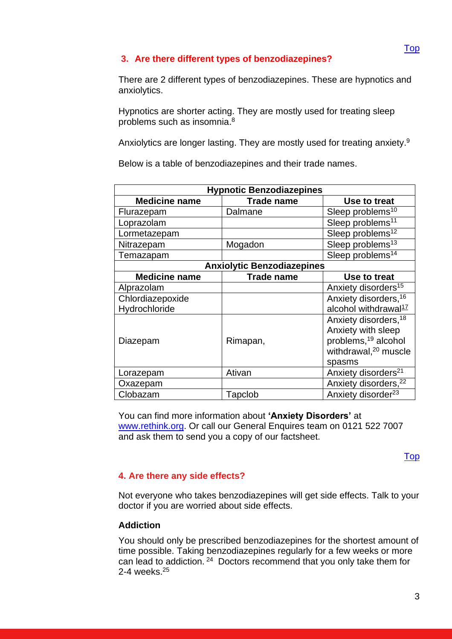# <span id="page-2-0"></span>**3. Are there different types of benzodiazepines?**

There are 2 different types of benzodiazepines. These are hypnotics and anxiolytics.

Hypnotics are shorter acting. They are mostly used for treating sleep problems such as insomnia. 8

Anxiolytics are longer lasting. They are mostly used for treating anxiety.<sup>9</sup>

Below is a table of benzodiazepines and their trade names.

| <b>Hypnotic Benzodiazepines</b>   |                   |                                  |
|-----------------------------------|-------------------|----------------------------------|
| <b>Medicine name</b>              | <b>Trade name</b> | Use to treat                     |
| Flurazepam                        | Dalmane           | Sleep problems <sup>10</sup>     |
| Loprazolam                        |                   | Sleep problems <sup>11</sup>     |
| Lormetazepam                      |                   | Sleep problems <sup>12</sup>     |
| Nitrazepam                        | Mogadon           | Sleep problems <sup>13</sup>     |
| Temazapam                         |                   | Sleep problems <sup>14</sup>     |
| <b>Anxiolytic Benzodiazepines</b> |                   |                                  |
| <b>Medicine name</b>              | <b>Trade name</b> | Use to treat                     |
| Alprazolam                        |                   | Anxiety disorders <sup>15</sup>  |
| Chlordiazepoxide                  |                   | Anxiety disorders, 16            |
| Hydrochloride                     |                   | alcohol withdrawal <sup>17</sup> |
|                                   |                   | Anxiety disorders, <sup>18</sup> |
|                                   |                   | Anxiety with sleep               |
| Diazepam                          | Rimapan,          | problems, <sup>19</sup> alcohol  |
|                                   |                   | withdrawal, <sup>20</sup> muscle |
|                                   |                   | spasms                           |
| Lorazepam                         | Ativan            | Anxiety disorders <sup>21</sup>  |
| Oxazepam                          |                   | Anxiety disorders, 22            |
| Clobazam                          | Tapclob           | Anxiety disorder <sup>23</sup>   |

You can find more information about **'Anxiety Disorders'** at [www.rethink.org.](http://www.rethink.org/) Or call our General Enquires team on 0121 522 7007 and ask them to send you a copy of our factsheet.

[Top](#page-0-2)

# <span id="page-2-1"></span>**4. Are there any side effects?**

Not everyone who takes benzodiazepines will get side effects. Talk to your doctor if you are worried about side effects.

# **Addiction**

You should only be prescribed benzodiazepines for the shortest amount of time possible. Taking benzodiazepines regularly for a few weeks or more can lead to addiction. <sup>24</sup> Doctors recommend that you only take them for 2-4 weeks.<sup>25</sup>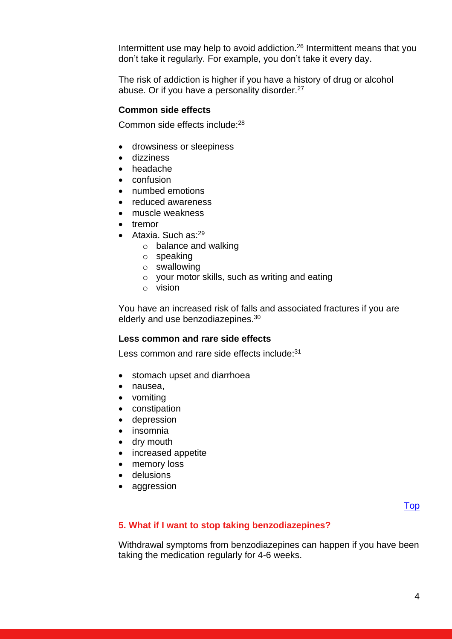Intermittent use may help to avoid addiction.<sup>26</sup> Intermittent means that you don't take it regularly. For example, you don't take it every day.

The risk of addiction is higher if you have a history of drug or alcohol abuse. Or if you have a personality disorder.<sup>27</sup>

## **Common side effects**

Common side effects include:<sup>28</sup>

- drowsiness or sleepiness
- dizziness
- headache
- confusion
- numbed emotions
- reduced awareness
- muscle weakness
- tremor
- Ataxia. Such as: $^{29}$ 
	- o balance and walking
	- o speaking
	- o swallowing
	- o your motor skills, such as writing and eating
	- o vision

You have an increased risk of falls and associated fractures if you are elderly and use benzodiazepines.<sup>30</sup>

#### **Less common and rare side effects**

Less common and rare side effects include:<sup>31</sup>

- stomach upset and diarrhoea
- nausea,
- vomiting
- constipation
- depression
- insomnia
- dry mouth
- increased appetite
- memory loss
- delusions
- aggression

[Top](#page-0-2)

## <span id="page-3-0"></span>**5. What if I want to stop taking benzodiazepines?**

Withdrawal symptoms from benzodiazepines can happen if you have been taking the medication regularly for 4-6 weeks.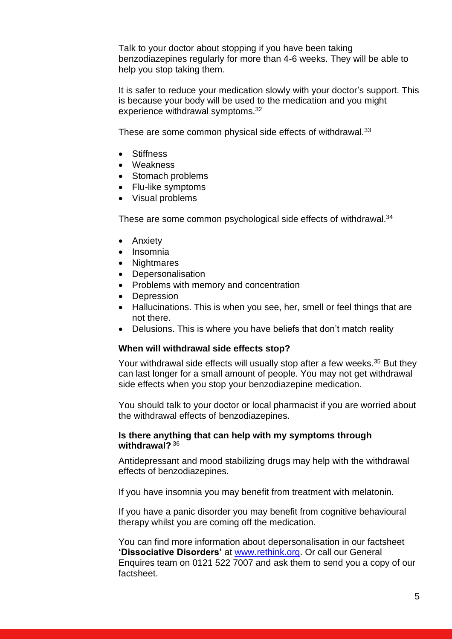Talk to your doctor about stopping if you have been taking benzodiazepines regularly for more than 4-6 weeks. They will be able to help you stop taking them.

It is safer to reduce your medication slowly with your doctor's support. This is because your body will be used to the medication and you might experience withdrawal symptoms.<sup>32</sup>

These are some common physical side effects of withdrawal.<sup>33</sup>

- Stiffness
- Weakness
- Stomach problems
- Flu-like symptoms
- Visual problems

These are some common psychological side effects of withdrawal.<sup>34</sup>

- Anxiety
- Insomnia
- Nightmares
- Depersonalisation
- Problems with memory and concentration
- Depression
- Hallucinations. This is when you see, her, smell or feel things that are not there.
- Delusions. This is where you have beliefs that don't match reality

## **When will withdrawal side effects stop?**

Your withdrawal side effects will usually stop after a few weeks.<sup>35</sup> But they can last longer for a small amount of people. You may not get withdrawal side effects when you stop your benzodiazepine medication.

You should talk to your doctor or local pharmacist if you are worried about the withdrawal effects of benzodiazepines.

## **Is there anything that can help with my symptoms through withdrawal?** <sup>36</sup>

Antidepressant and mood stabilizing drugs may help with the withdrawal effects of benzodiazepines.

If you have insomnia you may benefit from treatment with melatonin.

If you have a panic disorder you may benefit from cognitive behavioural therapy whilst you are coming off the medication.

You can find more information about depersonalisation in our factsheet **'Dissociative Disorders'** at [www.rethink.org.](http://www.rethink.org/) Or call our General Enquires team on 0121 522 7007 and ask them to send you a copy of our factsheet.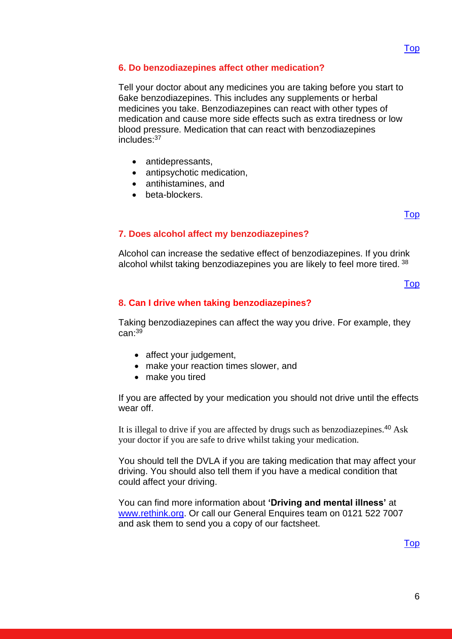# <span id="page-5-0"></span>**6. Do benzodiazepines affect other medication?**

Tell your doctor about any medicines you are taking before you start to 6ake benzodiazepines. This includes any supplements or herbal medicines you take. Benzodiazepines can react with other types of medication and cause more side effects such as extra tiredness or low blood pressure. Medication that can react with benzodiazepines includes: 37

- antidepressants,
- antipsychotic medication,
- antihistamines, and
- beta-blockers.

[Top](#page-0-2)

# <span id="page-5-1"></span>**7. Does alcohol affect my benzodiazepines?**

Alcohol can increase the sedative effect of benzodiazepines. If you drink alcohol whilst taking benzodiazepines you are likely to feel more tired. 38

[Top](#page-0-2)

# **8. [Can I drive when taking benzodiazepines?](#page-6-0)**

Taking benzodiazepines can affect the way you drive. For example, they can:<sup>39</sup>

- affect your judgement,
- make your reaction times slower, and
- make you tired

If you are affected by your medication you should not drive until the effects wear off.

It is illegal to drive if you are affected by drugs such as benzodiazepines.<sup>40</sup> Ask your doctor if you are safe to drive whilst taking your medication.

You should tell the DVLA if you are taking medication that may affect your driving. You should also tell them if you have a medical condition that could affect your driving.

You can find more information about **'Driving and mental illness'** at [www.rethink.org.](http://www.rethink.org/) Or call our General Enquires team on 0121 522 7007 and ask them to send you a copy of our factsheet.

[Top](#page-0-2)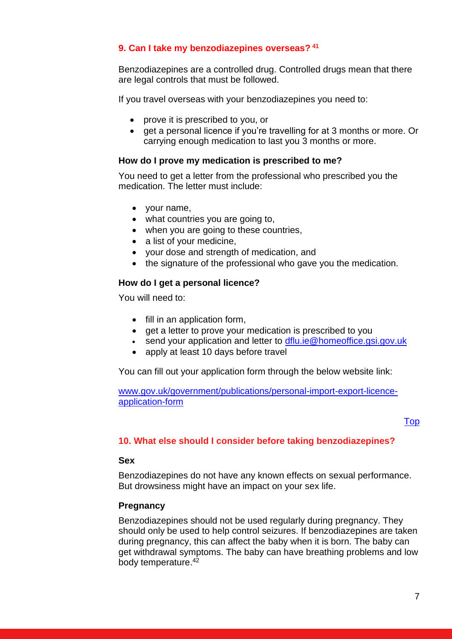# <span id="page-6-0"></span>**9. Can I take my benzodiazepines overseas? <sup>41</sup>**

Benzodiazepines are a controlled drug. Controlled drugs mean that there are legal controls that must be followed.

If you travel overseas with your benzodiazepines you need to:

- prove it is prescribed to you, or
- get a personal licence if you're travelling for at 3 months or more. Or carrying enough medication to last you 3 months or more.

# **How do I prove my medication is prescribed to me?**

You need to get a letter from the professional who prescribed you the medication. The letter must include:

- your name,
- what countries you are going to,
- when you are going to these countries,
- a list of your medicine,
- your dose and strength of medication, and
- the signature of the professional who gave you the medication.

# **How do I get a personal licence?**

You will need to:

- fill in an application form,
- get a letter to prove your medication is prescribed to you
- send your application and letter to dflu.ie@homeoffice.gsi.gov.uk
- apply at least 10 days before travel

You can fill out your application form through the below website link:

[www.gov.uk/government/publications/personal-import-export-licence](http://www.gov.uk/government/publications/personal-import-export-licence-application-form)[application-form](http://www.gov.uk/government/publications/personal-import-export-licence-application-form)

# [Top](#page-0-2)

# <span id="page-6-1"></span>**10. What else should I consider before taking benzodiazepines?**

## **Sex**

Benzodiazepines do not have any known effects on sexual performance. But drowsiness might have an impact on your sex life.

# **Pregnancy**

Benzodiazepines should not be used regularly during pregnancy. They should only be used to help control seizures. If benzodiazepines are taken during pregnancy, this can affect the baby when it is born. The baby can get withdrawal symptoms. The baby can have breathing problems and low body temperature. 42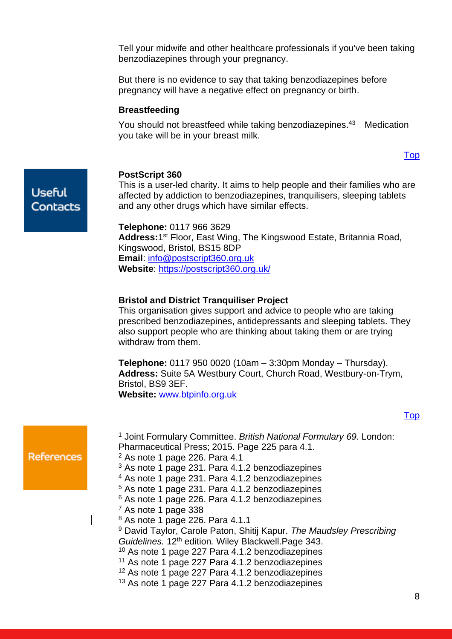Tell your midwife and other healthcare professionals if you've been taking benzodiazepines through your pregnancy.

But there is no evidence to say that taking benzodiazepines before pregnancy will have a negative effect on pregnancy or birth.

## **Breastfeeding**

You should not breastfeed while taking benzodiazepines. <sup>43</sup> Medication you take will be in your breast milk.

#### [Top](#page-0-2)

**Useful** Contacts

#### **PostScript 360**

This is a user-led charity. It aims to help people and their families who are affected by addiction to benzodiazepines, tranquilisers, sleeping tablets and any other drugs which have similar effects.

**Telephone:** 0117 966 3629 **Address:**1 st Floor, East Wing, The Kingswood Estate, Britannia Road, Kingswood, Bristol, BS15 8DP **Email**: [info@postscript360.org.uk](mailto:info@postscript360.org.uk) **Website**:<https://postscript360.org.uk/>

#### **Bristol and District Tranquiliser Project**

This organisation gives support and advice to people who are taking prescribed benzodiazepines, antidepressants and sleeping tablets. They also support people who are thinking about taking them or are trying withdraw from them.

**Telephone:** 0117 950 0020 (10am – 3:30pm Monday – Thursday). **Address:** Suite 5A Westbury Court, Church Road, Westbury-on-Trym, Bristol, BS9 3EF.

**Website:** [www.btpinfo.org.uk](http://www.btpinfo.org.uk/)

|                                                                                 | <sup>1</sup> Joint Formulary Committee. British National Formulary 69. London:<br>Pharmaceutical Press; 2015. Page 225 para 4.1. |  |
|---------------------------------------------------------------------------------|----------------------------------------------------------------------------------------------------------------------------------|--|
| <b>References</b>                                                               | $2$ As note 1 page 226. Para 4.1                                                                                                 |  |
|                                                                                 | <sup>3</sup> As note 1 page 231. Para 4.1.2 benzodiazepines                                                                      |  |
|                                                                                 | <sup>4</sup> As note 1 page 231. Para 4.1.2 benzodiazepines                                                                      |  |
| <sup>5</sup> As note 1 page 231. Para 4.1.2 benzodiazepines                     |                                                                                                                                  |  |
| <sup>6</sup> As note 1 page 226. Para 4.1.2 benzodiazepines                     |                                                                                                                                  |  |
|                                                                                 | $7$ As note 1 page 338                                                                                                           |  |
| <sup>8</sup> As note 1 page 226. Para 4.1.1                                     |                                                                                                                                  |  |
| <sup>9</sup> David Taylor, Carole Paton, Shitij Kapur. The Maudsley Prescribing |                                                                                                                                  |  |
| Guidelines. 12 <sup>th</sup> edition. Wiley Blackwell. Page 343.                |                                                                                                                                  |  |
|                                                                                 | <sup>10</sup> As note 1 page 227 Para 4.1.2 benzodiazepines                                                                      |  |
| <sup>11</sup> As note 1 page 227 Para 4.1.2 benzodiazepines                     |                                                                                                                                  |  |
| <sup>12</sup> As note 1 page 227 Para 4.1.2 benzodiazepines                     |                                                                                                                                  |  |
|                                                                                 | <sup>13</sup> As note 1 page 227 Para 4.1.2 benzodiazepines                                                                      |  |

<u>[Top](#page-0-3)</u>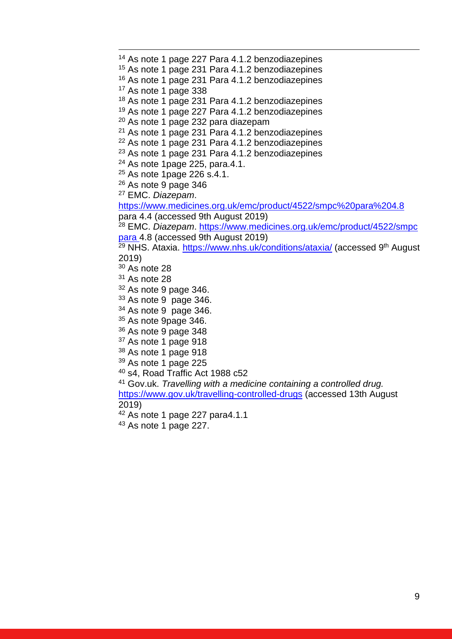<sup>14</sup> As note 1 page 227 Para 4.1.2 benzodiazepines As note 1 page 231 Para 4.1.2 benzodiazepines As note 1 page 231 Para 4.1.2 benzodiazepines As note 1 page 338 As note 1 page 231 Para 4.1.2 benzodiazepines As note 1 page 227 Para 4.1.2 benzodiazepines <sup>20</sup> As note 1 page 232 para diazepam As note 1 page 231 Para 4.1.2 benzodiazepines As note 1 page 231 Para 4.1.2 benzodiazepines As note 1 page 231 Para 4.1.2 benzodiazepines As note 1page 225, para.4.1. As note 1 page 226 s.4.1. As note 9 page 346 EMC. *Diazepam*. <https://www.medicines.org.uk/emc/product/4522/smpc%20para%204.8> para 4.4 (accessed 9th August 2019) EMC. *Diazepam*. [https://www.medicines.org.uk/emc/product/4522/smpc](https://www.medicines.org.uk/emc/product/4522/smpc%20para%204.8)  [para 4.8](https://www.medicines.org.uk/emc/product/4522/smpc%20para%204.8) (accessed 9th August 2019) NHS. Ataxia.<https://www.nhs.uk/conditions/ataxia/> (accessed 9<sup>th</sup> August 2019) As note 28 As note 28 As note 9 page 346. As note 9 page 346. As note 9 page 346. <sup>35</sup> As note 9page 346. As note 9 page 348 <sup>37</sup> As note 1 page 918 As note 1 page 918 As note 1 page 225 s4, Road Traffic Act 1988 c52 Gov.uk. *Travelling with a medicine containing a controlled drug.* <https://www.gov.uk/travelling-controlled-drugs> (accessed 13th August 2019)

As note 1 page 227 para4.1.1

As note 1 page 227.